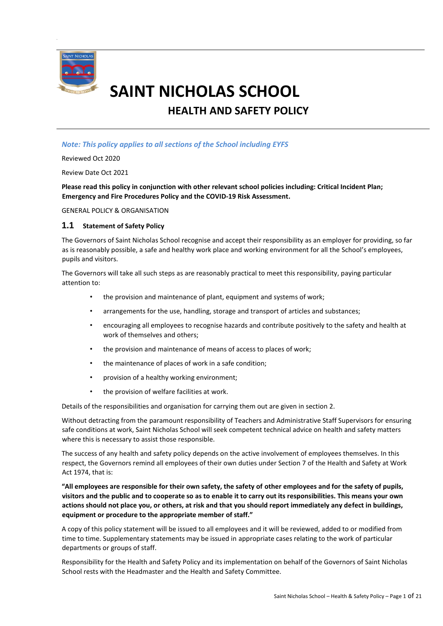

# **SAINT NICHOLAS SCHOOL**

**HEALTH AND SAFETY POLICY**

## *Note: This policy applies to all sections of the School including EYFS*

Reviewed Oct 2020

Review Date Oct 2021

**Please read this policy in conjunction with other relevant school policies including: Critical Incident Plan; Emergency and Fire Procedures Policy and the COVID-19 Risk Assessment.**

GENERAL POLICY & ORGANISATION

#### **1.1 Statement of Safety Policy**

The Governors of Saint Nicholas School recognise and accept their responsibility as an employer for providing, so far as is reasonably possible, a safe and healthy work place and working environment for all the School's employees, pupils and visitors.

The Governors will take all such steps as are reasonably practical to meet this responsibility, paying particular attention to:

- the provision and maintenance of plant, equipment and systems of work;
- arrangements for the use, handling, storage and transport of articles and substances;
- encouraging all employees to recognise hazards and contribute positively to the safety and health at work of themselves and others;
- the provision and maintenance of means of access to places of work;
- the maintenance of places of work in a safe condition;
- provision of a healthy working environment;
- the provision of welfare facilities at work.

Details of the responsibilities and organisation for carrying them out are given in section 2.

Without detracting from the paramount responsibility of Teachers and Administrative Staff Supervisors for ensuring safe conditions at work, Saint Nicholas School will seek competent technical advice on health and safety matters where this is necessary to assist those responsible.

The success of any health and safety policy depends on the active involvement of employees themselves. In this respect, the Governors remind all employees of their own duties under Section 7 of the Health and Safety at Work Act 1974, that is:

**"All employees are responsible for their own safety, the safety of other employees and for the safety of pupils, visitors and the public and to cooperate so as to enable it to carry out its responsibilities. This means your own actions should not place you, or others, at risk and that you should report immediately any defect in buildings, equipment or procedure to the appropriate member of staff."**

A copy of this policy statement will be issued to all employees and it will be reviewed, added to or modified from time to time. Supplementary statements may be issued in appropriate cases relating to the work of particular departments or groups of staff.

Responsibility for the Health and Safety Policy and its implementation on behalf of the Governors of Saint Nicholas School rests with the Headmaster and the Health and Safety Committee.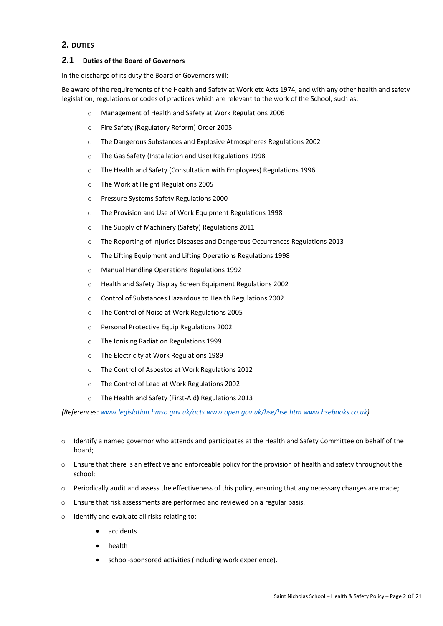# **2. DUTIES**

#### **2.1 Duties of the Board of Governors**

In the discharge of its duty the Board of Governors will:

Be aware of the requirements of the Health and Safety at Work etc Acts 1974, and with any other health and safety legislation, regulations or codes of practices which are relevant to the work of the School, such as:

- o Management of Health and Safety at Work Regulations 2006
- o Fire Safety (Regulatory Reform) Order 2005
- o The Dangerous Substances and Explosive Atmospheres Regulations 2002
- o The Gas Safety (Installation and Use) Regulations 1998
- o The Health and Safety (Consultation with Employees) Regulations 1996
- o The Work at Height Regulations 2005
- o Pressure Systems Safety Regulations 2000
- o The Provision and Use of Work Equipment Regulations 1998
- o The Supply of Machinery (Safety) Regulations 2011
- o The Reporting of Injuries Diseases and Dangerous Occurrences Regulations 2013
- o The Lifting Equipment and Lifting Operations Regulations 1998
- o Manual Handling Operations Regulations 1992
- o Health and Safety Display Screen Equipment Regulations 2002
- o Control of Substances Hazardous to Health Regulations 2002
- o The Control of Noise at Work Regulations 2005
- o Personal Protective Equip Regulations 2002
- o The Ionising Radiation Regulations 1999
- o The Electricity at Work Regulations 1989
- o The Control of Asbestos at Work Regulations 2012
- o The Control of Lead at Work Regulations 2002
- o The Health and Safety (First**-**Aid**)** Regulations 2013

*(References: [www.legislation.hmso.gov.uk/acts](http://www.legislation.hmso.gov.uk/acts) [www.open.gov.uk/hse/hse.htm](http://www.open.gov.uk/hse/hse.htm) [www.hsebooks.co.uk\)](http://www.hsebooks.co.uk/)*

- o Identify a named governor who attends and participates at the Health and Safety Committee on behalf of the board;
- o Ensure that there is an effective and enforceable policy for the provision of health and safety throughout the school;
- $\circ$  Periodically audit and assess the effectiveness of this policy, ensuring that any necessary changes are made;
- o Ensure that risk assessments are performed and reviewed on a regular basis.
- o Identify and evaluate all risks relating to:
	- accidents
	- health
	- school-sponsored activities (including work experience).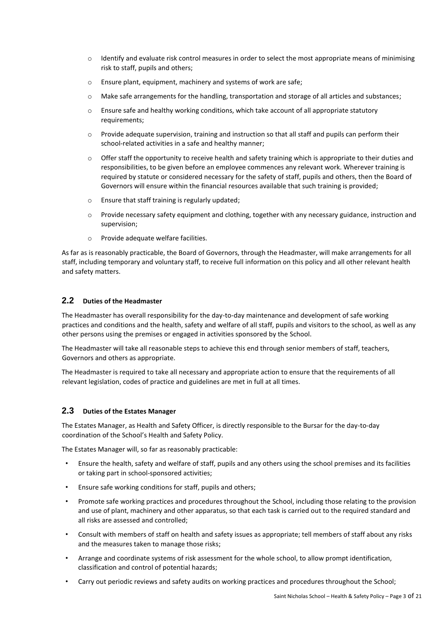- $\circ$  Identify and evaluate risk control measures in order to select the most appropriate means of minimising risk to staff, pupils and others;
- o Ensure plant, equipment, machinery and systems of work are safe;
- o Make safe arrangements for the handling, transportation and storage of all articles and substances;
- o Ensure safe and healthy working conditions, which take account of all appropriate statutory requirements;
- o Provide adequate supervision, training and instruction so that all staff and pupils can perform their school-related activities in a safe and healthy manner;
- o Offer staff the opportunity to receive health and safety training which is appropriate to their duties and responsibilities, to be given before an employee commences any relevant work. Wherever training is required by statute or considered necessary for the safety of staff, pupils and others, then the Board of Governors will ensure within the financial resources available that such training is provided;
- o Ensure that staff training is regularly updated;
- o Provide necessary safety equipment and clothing, together with any necessary guidance, instruction and supervision;
- o Provide adequate welfare facilities.

As far as is reasonably practicable, the Board of Governors, through the Headmaster, will make arrangements for all staff, including temporary and voluntary staff, to receive full information on this policy and all other relevant health and safety matters.

## **2.2 Duties of the Headmaster**

The Headmaster has overall responsibility for the day-to-day maintenance and development of safe working practices and conditions and the health, safety and welfare of all staff, pupils and visitors to the school, as well as any other persons using the premises or engaged in activities sponsored by the School.

The Headmaster will take all reasonable steps to achieve this end through senior members of staff, teachers, Governors and others as appropriate.

The Headmaster is required to take all necessary and appropriate action to ensure that the requirements of all relevant legislation, codes of practice and guidelines are met in full at all times.

#### **2.3 Duties of the Estates Manager**

The Estates Manager, as Health and Safety Officer, is directly responsible to the Bursar for the day-to-day coordination of the School's Health and Safety Policy.

The Estates Manager will, so far as reasonably practicable:

- Ensure the health, safety and welfare of staff, pupils and any others using the school premises and its facilities or taking part in school-sponsored activities;
- Ensure safe working conditions for staff, pupils and others;
- Promote safe working practices and procedures throughout the School, including those relating to the provision and use of plant, machinery and other apparatus, so that each task is carried out to the required standard and all risks are assessed and controlled;
- Consult with members of staff on health and safety issues as appropriate; tell members of staff about any risks and the measures taken to manage those risks;
- Arrange and coordinate systems of risk assessment for the whole school, to allow prompt identification, classification and control of potential hazards;
- Carry out periodic reviews and safety audits on working practices and procedures throughout the School;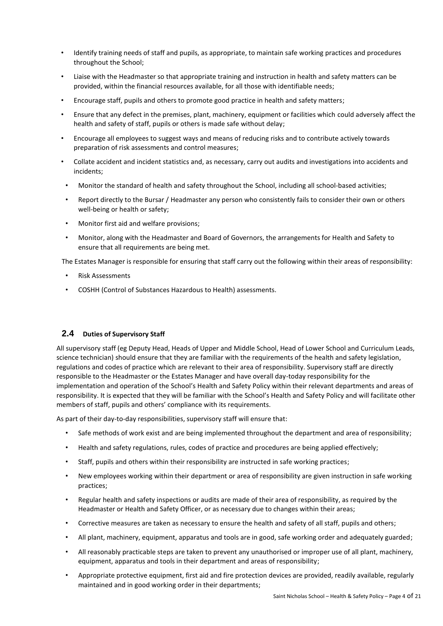- Identify training needs of staff and pupils, as appropriate, to maintain safe working practices and procedures throughout the School;
- Liaise with the Headmaster so that appropriate training and instruction in health and safety matters can be provided, within the financial resources available, for all those with identifiable needs;
- Encourage staff, pupils and others to promote good practice in health and safety matters;
- Ensure that any defect in the premises, plant, machinery, equipment or facilities which could adversely affect the health and safety of staff, pupils or others is made safe without delay;
- Encourage all employees to suggest ways and means of reducing risks and to contribute actively towards preparation of risk assessments and control measures;
- Collate accident and incident statistics and, as necessary, carry out audits and investigations into accidents and incidents;
- Monitor the standard of health and safety throughout the School, including all school-based activities;
- Report directly to the Bursar / Headmaster any person who consistently fails to consider their own or others well-being or health or safety;
- Monitor first aid and welfare provisions;
- Monitor, along with the Headmaster and Board of Governors, the arrangements for Health and Safety to ensure that all requirements are being met.

The Estates Manager is responsible for ensuring that staff carry out the following within their areas of responsibility:

- Risk Assessments
- COSHH (Control of Substances Hazardous to Health) assessments.

## **2.4 Duties of Supervisory Staff**

All supervisory staff (eg Deputy Head, Heads of Upper and Middle School, Head of Lower School and Curriculum Leads, science technician) should ensure that they are familiar with the requirements of the health and safety legislation, regulations and codes of practice which are relevant to their area of responsibility. Supervisory staff are directly responsible to the Headmaster or the Estates Manager and have overall day-today responsibility for the implementation and operation of the School's Health and Safety Policy within their relevant departments and areas of responsibility. It is expected that they will be familiar with the School's Health and Safety Policy and will facilitate other members of staff, pupils and others' compliance with its requirements.

As part of their day-to-day responsibilities, supervisory staff will ensure that:

- Safe methods of work exist and are being implemented throughout the department and area of responsibility;
- Health and safety regulations, rules, codes of practice and procedures are being applied effectively;
- Staff, pupils and others within their responsibility are instructed in safe working practices;
- New employees working within their department or area of responsibility are given instruction in safe working practices;
- Regular health and safety inspections or audits are made of their area of responsibility, as required by the Headmaster or Health and Safety Officer, or as necessary due to changes within their areas;
- Corrective measures are taken as necessary to ensure the health and safety of all staff, pupils and others;
- All plant, machinery, equipment, apparatus and tools are in good, safe working order and adequately guarded;
- All reasonably practicable steps are taken to prevent any unauthorised or improper use of all plant, machinery, equipment, apparatus and tools in their department and areas of responsibility;
- Appropriate protective equipment, first aid and fire protection devices are provided, readily available, regularly maintained and in good working order in their departments;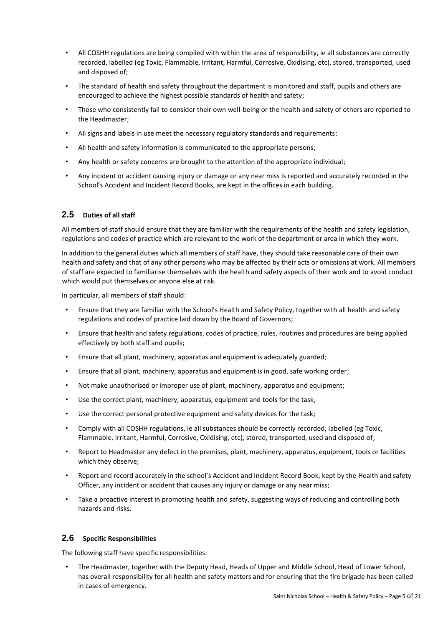- All COSHH regulations are being complied with within the area of responsibility, ie all substances are correctly recorded, labelled (eg Toxic, Flammable, Irritant, Harmful, Corrosive, Oxidising, etc), stored, transported, used and disposed of;
- The standard of health and safety throughout the department is monitored and staff, pupils and others are encouraged to achieve the highest possible standards of health and safety;
- Those who consistently fail to consider their own well-being or the health and safety of others are reported to the Headmaster;
- All signs and labels in use meet the necessary regulatory standards and requirements;
- All health and safety information is communicated to the appropriate persons;
- Any health or safety concerns are brought to the attention of the appropriate individual;
- Any incident or accident causing injury or damage or any near miss is reported and accurately recorded in the School's Accident and Incident Record Books, are kept in the offices in each building.

# **2.5 Duties of all staff**

All members of staff should ensure that they are familiar with the requirements of the health and safety legislation, regulations and codes of practice which are relevant to the work of the department or area in which they work.

In addition to the general duties which all members of staff have, they should take reasonable care of their own health and safety and that of any other persons who may be affected by their acts or omissions at work. All members of staff are expected to familiarise themselves with the health and safety aspects of their work and to avoid conduct which would put themselves or anyone else at risk.

In particular, all members of staff should:

- Ensure that they are familiar with the School's Health and Safety Policy, together with all health and safety regulations and codes of practice laid down by the Board of Governors;
- Ensure that health and safety regulations, codes of practice, rules, routines and procedures are being applied effectively by both staff and pupils;
- Ensure that all plant, machinery, apparatus and equipment is adequately guarded;
- Ensure that all plant, machinery, apparatus and equipment is in good, safe working order;
- Not make unauthorised or improper use of plant, machinery, apparatus and equipment;
- Use the correct plant, machinery, apparatus, equipment and tools for the task;
- Use the correct personal protective equipment and safety devices for the task;
- Comply with all COSHH regulations, ie all substances should be correctly recorded, labelled (eg Toxic, Flammable, Irritant, Harmful, Corrosive, Oxidising, etc), stored, transported, used and disposed of;
- Report to Headmaster any defect in the premises, plant, machinery, apparatus, equipment, tools or facilities which they observe;
- Report and record accurately in the school's Accident and Incident Record Book, kept by the Health and safety Officer, any incident or accident that causes any injury or damage or any near miss;
- Take a proactive interest in promoting health and safety, suggesting ways of reducing and controlling both hazards and risks.

## **2.6 Specific Responsibilities**

The following staff have specific responsibilities:

• The Headmaster, together with the Deputy Head, Heads of Upper and Middle School, Head of Lower School, has overall responsibility for all health and safety matters and for ensuring that the fire brigade has been called in cases of emergency.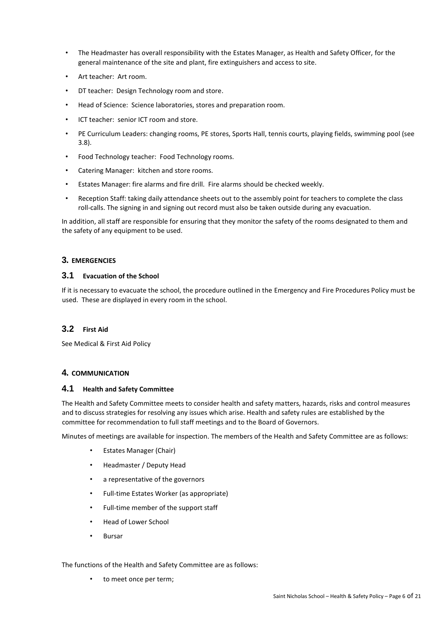- The Headmaster has overall responsibility with the Estates Manager, as Health and Safety Officer, for the general maintenance of the site and plant, fire extinguishers and access to site.
- Art teacher: Art room.
- DT teacher: Design Technology room and store.
- Head of Science: Science laboratories, stores and preparation room.
- ICT teacher: senior ICT room and store.
- PE Curriculum Leaders: changing rooms, PE stores, Sports Hall, tennis courts, playing fields, swimming pool (see 3.8).
- Food Technology teacher: Food Technology rooms.
- Catering Manager: kitchen and store rooms.
- Estates Manager: fire alarms and fire drill. Fire alarms should be checked weekly.
- Reception Staff: taking daily attendance sheets out to the assembly point for teachers to complete the class roll-calls. The signing in and signing out record must also be taken outside during any evacuation.

In addition, all staff are responsible for ensuring that they monitor the safety of the rooms designated to them and the safety of any equipment to be used.

## **3. EMERGENCIES**

#### **3.1 Evacuation of the School**

If it is necessary to evacuate the school, the procedure outlined in the Emergency and Fire Procedures Policy must be used. These are displayed in every room in the school.

## **3.2 First Aid**

See Medical & First Aid Policy

## **4. COMMUNICATION**

## **4.1 Health and Safety Committee**

The Health and Safety Committee meets to consider health and safety matters, hazards, risks and control measures and to discuss strategies for resolving any issues which arise. Health and safety rules are established by the committee for recommendation to full staff meetings and to the Board of Governors.

Minutes of meetings are available for inspection. The members of the Health and Safety Committee are as follows:

- Estates Manager (Chair)
- Headmaster / Deputy Head
- a representative of the governors
- Full-time Estates Worker (as appropriate)
- Full-time member of the support staff
- Head of Lower School
- Bursar

#### The functions of the Health and Safety Committee are as follows:

to meet once per term;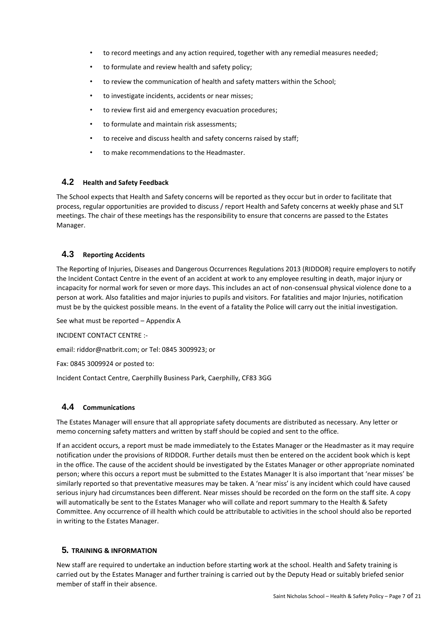- to record meetings and any action required, together with any remedial measures needed;
- to formulate and review health and safety policy;
- to review the communication of health and safety matters within the School;
- to investigate incidents, accidents or near misses;
- to review first aid and emergency evacuation procedures;
- to formulate and maintain risk assessments;
- to receive and discuss health and safety concerns raised by staff;
- to make recommendations to the Headmaster.

## **4.2 Health and Safety Feedback**

The School expects that Health and Safety concerns will be reported as they occur but in order to facilitate that process, regular opportunities are provided to discuss / report Health and Safety concerns at weekly phase and SLT meetings. The chair of these meetings has the responsibility to ensure that concerns are passed to the Estates Manager.

# **4.3 Reporting Accidents**

The Reporting of Injuries, Diseases and Dangerous Occurrences Regulations 2013 (RIDDOR) require employers to notify the Incident Contact Centre in the event of an accident at work to any employee resulting in death, major injury or incapacity for normal work for seven or more days. This includes an act of non-consensual physical violence done to a person at work. Also fatalities and major injuries to pupils and visitors. For fatalities and major Injuries, notification must be by the quickest possible means. In the event of a fatality the Police will carry out the initial investigation.

See what must be reported – Appendix A

INCIDENT CONTACT CENTRE :-

email: riddor@natbrit.com; or Tel: 0845 3009923; or

Fax: 0845 3009924 or posted to:

Incident Contact Centre, Caerphilly Business Park, Caerphilly, CF83 3GG

## **4.4 Communications**

The Estates Manager will ensure that all appropriate safety documents are distributed as necessary. Any letter or memo concerning safety matters and written by staff should be copied and sent to the office.

If an accident occurs, a report must be made immediately to the Estates Manager or the Headmaster as it may require notification under the provisions of RIDDOR. Further details must then be entered on the accident book which is kept in the office. The cause of the accident should be investigated by the Estates Manager or other appropriate nominated person; where this occurs a report must be submitted to the Estates Manager It is also important that 'near misses' be similarly reported so that preventative measures may be taken. A 'near miss' is any incident which could have caused serious injury had circumstances been different. Near misses should be recorded on the form on the staff site. A copy will automatically be sent to the Estates Manager who will collate and report summary to the Health & Safety Committee. Any occurrence of ill health which could be attributable to activities in the school should also be reported in writing to the Estates Manager.

## **5. TRAINING & INFORMATION**

New staff are required to undertake an induction before starting work at the school. Health and Safety training is carried out by the Estates Manager and further training is carried out by the Deputy Head or suitably briefed senior member of staff in their absence.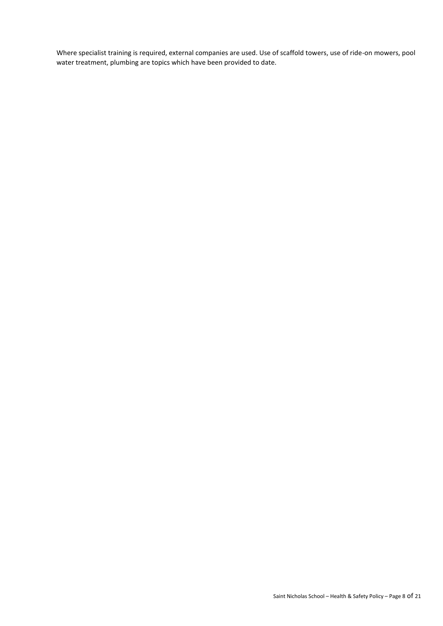Where specialist training is required, external companies are used. Use of scaffold towers, use of ride-on mowers, pool water treatment, plumbing are topics which have been provided to date.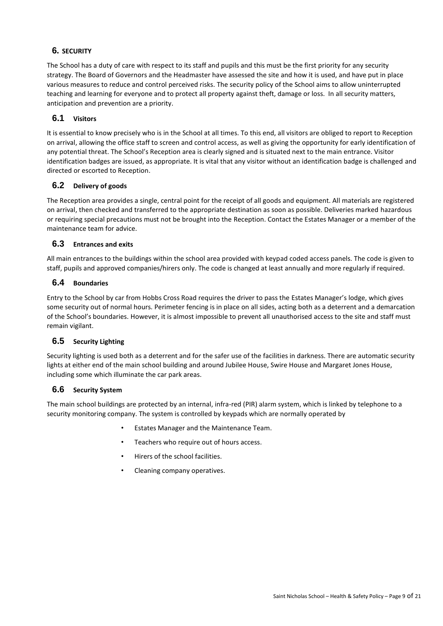# **6. SECURITY**

The School has a duty of care with respect to its staff and pupils and this must be the first priority for any security strategy. The Board of Governors and the Headmaster have assessed the site and how it is used, and have put in place various measures to reduce and control perceived risks. The security policy of the School aims to allow uninterrupted teaching and learning for everyone and to protect all property against theft, damage or loss. In all security matters, anticipation and prevention are a priority.

# **6.1 Visitors**

It is essential to know precisely who is in the School at all times. To this end, all visitors are obliged to report to Reception on arrival, allowing the office staff to screen and control access, as well as giving the opportunity for early identification of any potential threat. The School's Reception area is clearly signed and is situated next to the main entrance. Visitor identification badges are issued, as appropriate. It is vital that any visitor without an identification badge is challenged and directed or escorted to Reception.

# **6.2 Delivery of goods**

The Reception area provides a single, central point for the receipt of all goods and equipment. All materials are registered on arrival, then checked and transferred to the appropriate destination as soon as possible. Deliveries marked hazardous or requiring special precautions must not be brought into the Reception. Contact the Estates Manager or a member of the maintenance team for advice.

# **6.3 Entrances and exits**

All main entrances to the buildings within the school area provided with keypad coded access panels. The code is given to staff, pupils and approved companies/hirers only. The code is changed at least annually and more regularly if required.

# **6.4 Boundaries**

Entry to the School by car from Hobbs Cross Road requires the driver to pass the Estates Manager's lodge, which gives some security out of normal hours. Perimeter fencing is in place on all sides, acting both as a deterrent and a demarcation of the School's boundaries. However, it is almost impossible to prevent all unauthorised access to the site and staff must remain vigilant.

# **6.5 Security Lighting**

Security lighting is used both as a deterrent and for the safer use of the facilities in darkness. There are automatic security lights at either end of the main school building and around Jubilee House, Swire House and Margaret Jones House, including some which illuminate the car park areas.

## **6.6 Security System**

The main school buildings are protected by an internal, infra-red (PIR) alarm system, which is linked by telephone to a security monitoring company. The system is controlled by keypads which are normally operated by

- Estates Manager and the Maintenance Team.
- Teachers who require out of hours access.
- Hirers of the school facilities.
- Cleaning company operatives.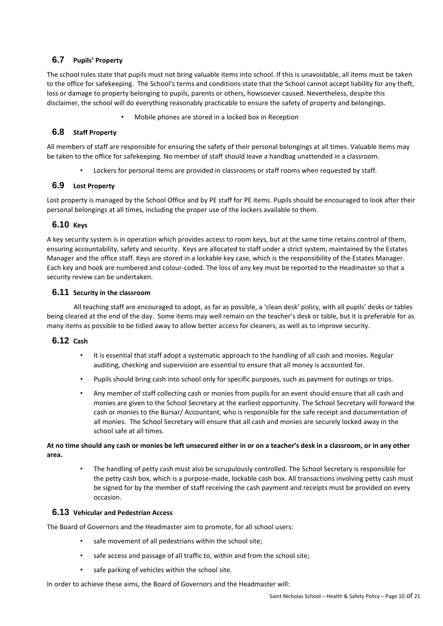# **6.7 Pupils' Property**

The school rules state that pupils must not bring valuable items into school. If this is unavoidable, all items must be taken to the office for safekeeping. The School's terms and conditions state that the School cannot accept liability for any theft, loss or damage to property belonging to pupils, parents or others, howsoever caused. Nevertheless, despite this disclaimer, the school will do everything reasonably practicable to ensure the safety of property and belongings.

• Mobile phones are stored in a locked box in Reception

# **6.8 Staff Property**

All members of staff are responsible for ensuring the safety of their personal belongings at all times. Valuable items may be taken to the office for safekeeping. No member of staff should leave a handbag unattended in a classroom.

• Lockers for personal items are provided in classrooms or staff rooms when requested by staff.

# **6.9 Lost Property**

Lost property is managed by the School Office and by PE staff for PE items. Pupils should be encouraged to look after their personal belongings at all times, including the proper use of the lockers available to them.

# **6.10 Keys**

A key security system is in operation which provides access to room keys, but at the same time retains control of them, ensuring accountability, safety and security. Keys are allocated to staff under a strict system, maintained by the Estates Manager and the office staff. Keys are stored in a lockable key case, which is the responsibility of the Estates Manager. Each key and hook are numbered and colour-coded. The loss of any key must be reported to the Headmaster so that a security review can be undertaken.

# **6.11 Security in the classroom**

All teaching staff are encouraged to adopt, as far as possible, a 'clean desk' policy, with all pupils' desks or tables being cleared at the end of the day. Some items may well remain on the teacher's desk or table, but it is preferable for as many items as possible to be tidied away to allow better access for cleaners, as well as to improve security.

## **6.12 Cash**

- It is essential that staff adopt a systematic approach to the handling of all cash and monies. Regular auditing, checking and supervision are essential to ensure that all money is accounted for.
- Pupils should bring cash into school only for specific purposes, such as payment for outings or trips.
- Any member of staff collecting cash or monies from pupils for an event should ensure that all cash and monies are given to the School Secretary at the earliest opportunity. The School Secretary will forward the cash or monies to the Bursar/ Accountant, who is responsible for the safe receipt and documentation of all monies. The School Secretary will ensure that all cash and monies are securely locked away in the school safe at all times.

## **At no time should any cash or monies be left unsecured either in or on a teacher's desk in a classroom, or in any other area.**

• The handling of petty cash must also be scrupulously controlled. The School Secretary is responsible for the petty cash box, which is a purpose-made, lockable cash box. All transactions involving petty cash must be signed for by the member of staff receiving the cash payment and receipts must be provided on every occasion.

## **6.13 Vehicular and Pedestrian Access**

The Board of Governors and the Headmaster aim to promote, for all school users:

- safe movement of all pedestrians within the school site;
- safe access and passage of all traffic to, within and from the school site;
- safe parking of vehicles within the school site.

In order to achieve these aims, the Board of Governors and the Headmaster will: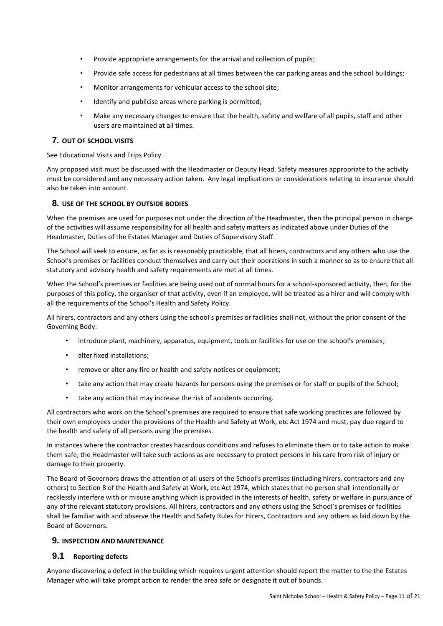- Provide appropriate arrangements for the arrival and collection of pupils;
- Provide safe access for pedestrians at all times between the car parking areas and the school buildings;
- Monitor arrangements for vehicular access to the school site;
- Identify and publicise areas where parking is permitted;
- Make any necessary changes to ensure that the health, safety and welfare of all pupils, staff and other users are maintained at all times.

## **7. OUT OF SCHOOL VISITS**

See Educational Visits and Trips Policy

Any proposed visit must be discussed with the Headmaster or Deputy Head. Safety measures appropriate to the activity must be considered and any necessary action taken. Any legal implications or considerations relating to insurance should also be taken into account.

## **8. USE OF THE SCHOOL BY OUTSIDE BODIES**

When the premises are used for purposes not under the direction of the Headmaster, then the principal person in charge of the activities will assume responsibility for all health and safety matters as indicated above under Duties of the Headmaster, Duties of the Estates Manager and Duties of Supervisory Staff.

The School will seek to ensure, as far as is reasonably practicable, that all hirers, contractors and any others who use the School's premises or facilities conduct themselves and carry out their operations in such a manner so as to ensure that all statutory and advisory health and safety requirements are met at all times.

When the School's premises or facilities are being used out of normal hours for a school-sponsored activity, then, for the purposes of this policy, the organiser of that activity, even if an employee, will be treated as a hirer and will comply with all the requirements of the School's Health and Safety Policy.

All hirers, contractors and any others using the school's premises or facilities shall not, without the prior consent of the Governing Body:

- introduce plant, machinery, apparatus, equipment, tools or facilities for use on the school's premises;
- alter fixed installations;
- remove or alter any fire or health and safety notices or equipment;
- take any action that may create hazards for persons using the premises or for staff or pupils of the School;
- take any action that may increase the risk of accidents occurring.

All contractors who work on the School's premises are required to ensure that safe working practices are followed by their own employees under the provisions of the Health and Safety at Work, etc Act 1974 and must, pay due regard to the health and safety of all persons using the premises.

In instances where the contractor creates hazardous conditions and refuses to eliminate them or to take action to make them safe, the Headmaster will take such actions as are necessary to protect persons in his care from risk of injury or damage to their property.

The Board of Governors draws the attention of all users of the School's premises (including hirers, contractors and any others) to Section 8 of the Health and Safety at Work, etc Act 1974, which states that no person shall intentionally or recklessly interfere with or misuse anything which is provided in the interests of health, safety or welfare in pursuance of any of the relevant statutory provisions. All hirers, contractors and any others using the School's premises or facilities shall be familiar with and observe the Health and Safety Rules for Hirers, Contractors and any others as laid down by the Board of Governors.

## **9. INSPECTION AND MAINTENANCE**

## **9.1 Reporting defects**

Anyone discovering a defect in the building which requires urgent attention should report the matter to the the Estates Manager who will take prompt action to render the area safe or designate it out of bounds.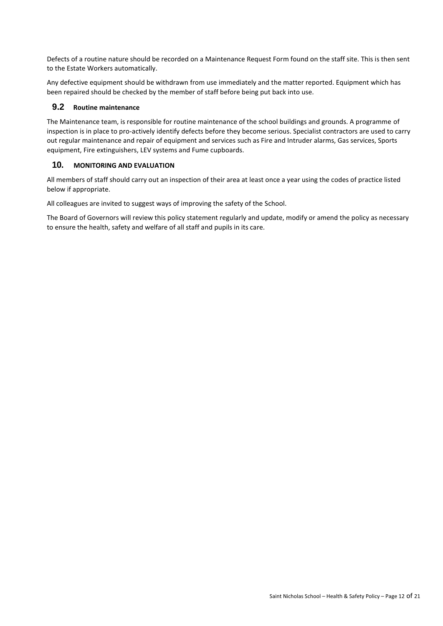Defects of a routine nature should be recorded on a Maintenance Request Form found on the staff site. This is then sent to the Estate Workers automatically.

Any defective equipment should be withdrawn from use immediately and the matter reported. Equipment which has been repaired should be checked by the member of staff before being put back into use.

## **9.2 Routine maintenance**

The Maintenance team, is responsible for routine maintenance of the school buildings and grounds. A programme of inspection is in place to pro-actively identify defects before they become serious. Specialist contractors are used to carry out regular maintenance and repair of equipment and services such as Fire and Intruder alarms, Gas services, Sports equipment, Fire extinguishers, LEV systems and Fume cupboards.

# **10. MONITORING AND EVALUATION**

All members of staff should carry out an inspection of their area at least once a year using the codes of practice listed below if appropriate.

All colleagues are invited to suggest ways of improving the safety of the School.

The Board of Governors will review this policy statement regularly and update, modify or amend the policy as necessary to ensure the health, safety and welfare of all staff and pupils in its care.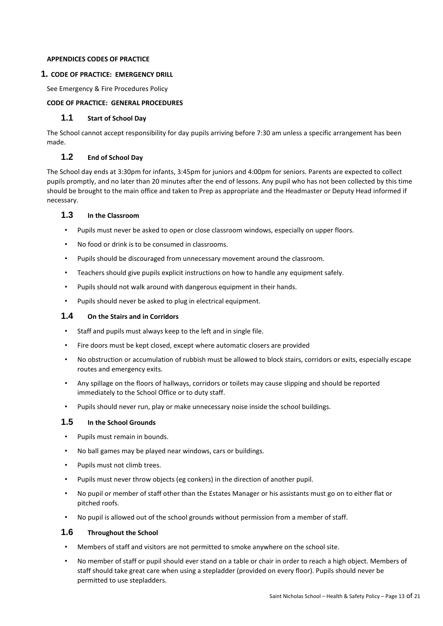#### **APPENDICES CODES OF PRACTICE**

#### **1. CODE OF PRACTICE: EMERGENCY DRILL**

See Emergency & Fire Procedures Policy

#### **CODE OF PRACTICE: GENERAL PROCEDURES**

#### **1.1 Start of School Day**

The School cannot accept responsibility for day pupils arriving before 7:30 am unless a specific arrangement has been made.

#### **1.2 End of School Day**

The School day ends at 3:30pm for infants, 3:45pm for juniors and 4:00pm for seniors. Parents are expected to collect pupils promptly, and no later than 20 minutes after the end of lessons. Any pupil who has not been collected by this time should be brought to the main office and taken to Prep as appropriate and the Headmaster or Deputy Head informed if necessary.

## **1.3 In the Classroom**

- Pupils must never be asked to open or close classroom windows, especially on upper floors.
- No food or drink is to be consumed in classrooms.
- Pupils should be discouraged from unnecessary movement around the classroom.
- Teachers should give pupils explicit instructions on how to handle any equipment safely.
- Pupils should not walk around with dangerous equipment in their hands.
- Pupils should never be asked to plug in electrical equipment.

## **1.4 On the Stairs and in Corridors**

- Staff and pupils must always keep to the left and in single file.
- Fire doors must be kept closed, except where automatic closers are provided
- No obstruction or accumulation of rubbish must be allowed to block stairs, corridors or exits, especially escape routes and emergency exits.
- Any spillage on the floors of hallways, corridors or toilets may cause slipping and should be reported immediately to the School Office or to duty staff.
- Pupils should never run, play or make unnecessary noise inside the school buildings.

## **1.5 In the School Grounds**

- Pupils must remain in bounds.
- No ball games may be played near windows, cars or buildings.
- Pupils must not climb trees.
- Pupils must never throw objects (eg conkers) in the direction of another pupil.
- No pupil or member of staff other than the Estates Manager or his assistants must go on to either flat or pitched roofs.
- No pupil is allowed out of the school grounds without permission from a member of staff.

## **1.6 Throughout the School**

- Members of staff and visitors are not permitted to smoke anywhere on the school site.
- No member of staff or pupil should ever stand on a table or chair in order to reach a high object. Members of staff should take great care when using a stepladder (provided on every floor). Pupils should never be permitted to use stepladders.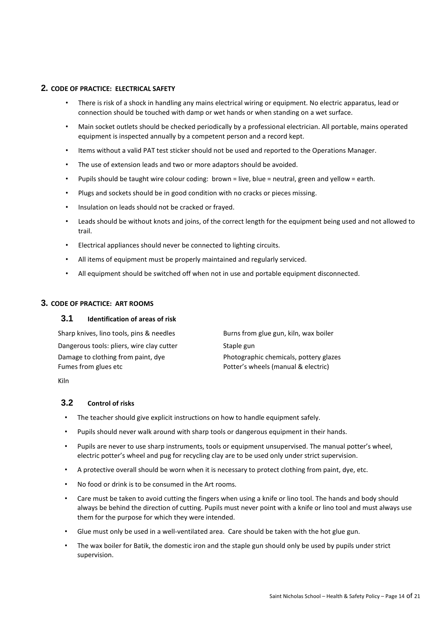#### **2. CODE OF PRACTICE: ELECTRICAL SAFETY**

- There is risk of a shock in handling any mains electrical wiring or equipment. No electric apparatus, lead or connection should be touched with damp or wet hands or when standing on a wet surface.
- Main socket outlets should be checked periodically by a professional electrician. All portable, mains operated equipment is inspected annually by a competent person and a record kept.
- Items without a valid PAT test sticker should not be used and reported to the Operations Manager.
- The use of extension leads and two or more adaptors should be avoided.
- Pupils should be taught wire colour coding: brown = live, blue = neutral, green and yellow = earth.
- Plugs and sockets should be in good condition with no cracks or pieces missing.
- Insulation on leads should not be cracked or frayed.
- Leads should be without knots and joins, of the correct length for the equipment being used and not allowed to trail.
- Electrical appliances should never be connected to lighting circuits.
- All items of equipment must be properly maintained and regularly serviced.
- All equipment should be switched off when not in use and portable equipment disconnected.

## **3. CODE OF PRACTICE: ART ROOMS**

#### **3.1 Identification of areas of risk**

| Sharp knives, lino tools, pins & needles  | Burns from glue gun, kiln, wax boiler  |
|-------------------------------------------|----------------------------------------|
| Dangerous tools: pliers, wire clay cutter | Staple gun                             |
| Damage to clothing from paint, dye        | Photographic chemicals, pottery glazes |
| Fumes from glues etc                      | Potter's wheels (manual & electric)    |

Kiln

#### **3.2 Control of risks**

- The teacher should give explicit instructions on how to handle equipment safely.
- Pupils should never walk around with sharp tools or dangerous equipment in their hands.
- Pupils are never to use sharp instruments, tools or equipment unsupervised. The manual potter's wheel, electric potter's wheel and pug for recycling clay are to be used only under strict supervision.
- A protective overall should be worn when it is necessary to protect clothing from paint, dye, etc.
- No food or drink is to be consumed in the Art rooms.
- Care must be taken to avoid cutting the fingers when using a knife or lino tool. The hands and body should always be behind the direction of cutting. Pupils must never point with a knife or lino tool and must always use them for the purpose for which they were intended.
- Glue must only be used in a well-ventilated area. Care should be taken with the hot glue gun.
- The wax boiler for Batik, the domestic iron and the staple gun should only be used by pupils under strict supervision.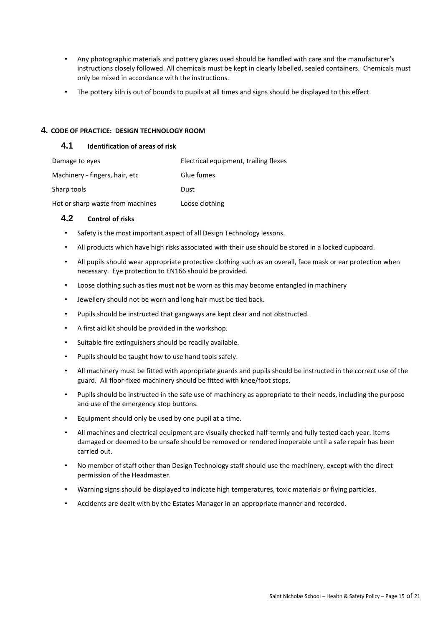- Any photographic materials and pottery glazes used should be handled with care and the manufacturer's instructions closely followed. All chemicals must be kept in clearly labelled, sealed containers. Chemicals must only be mixed in accordance with the instructions.
- The pottery kiln is out of bounds to pupils at all times and signs should be displayed to this effect.

## **4. CODE OF PRACTICE: DESIGN TECHNOLOGY ROOM**

# **4.1 Identification of areas of risk**

| Damage to eyes                   | Electrical equipment, trailing flexes |
|----------------------------------|---------------------------------------|
| Machinery - fingers, hair, etc   | Glue fumes                            |
| Sharp tools                      | Dust                                  |
| Hot or sharp waste from machines | Loose clothing                        |

## **4.2 Control of risks**

- Safety is the most important aspect of all Design Technology lessons.
- All products which have high risks associated with their use should be stored in a locked cupboard.
- All pupils should wear appropriate protective clothing such as an overall, face mask or ear protection when necessary. Eye protection to EN166 should be provided.
- Loose clothing such as ties must not be worn as this may become entangled in machinery
- Jewellery should not be worn and long hair must be tied back.
- Pupils should be instructed that gangways are kept clear and not obstructed.
- A first aid kit should be provided in the workshop.
- Suitable fire extinguishers should be readily available.
- Pupils should be taught how to use hand tools safely.
- All machinery must be fitted with appropriate guards and pupils should be instructed in the correct use of the guard. All floor-fixed machinery should be fitted with knee/foot stops.
- Pupils should be instructed in the safe use of machinery as appropriate to their needs, including the purpose and use of the emergency stop buttons.
- Equipment should only be used by one pupil at a time.
- All machines and electrical equipment are visually checked half-termly and fully tested each year. Items damaged or deemed to be unsafe should be removed or rendered inoperable until a safe repair has been carried out.
- No member of staff other than Design Technology staff should use the machinery, except with the direct permission of the Headmaster.
- Warning signs should be displayed to indicate high temperatures, toxic materials or flying particles.
- Accidents are dealt with by the Estates Manager in an appropriate manner and recorded.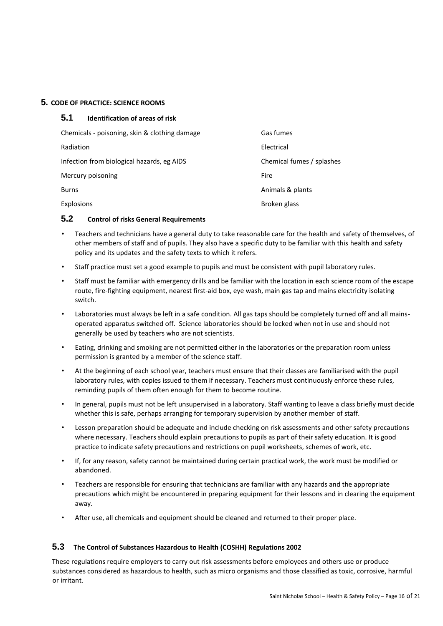## **5. CODE OF PRACTICE: SCIENCE ROOMS**

| 5.1<br><b>Identification of areas of risk</b> |                           |
|-----------------------------------------------|---------------------------|
| Chemicals - poisoning, skin & clothing damage | Gas fumes                 |
| Radiation                                     | Electrical                |
| Infection from biological hazards, eg AIDS    | Chemical fumes / splashes |
| Mercury poisoning                             | Fire                      |
| <b>Burns</b>                                  | Animals & plants          |
| Explosions                                    | Broken glass              |

#### **5.2 Control of risks General Requirements**

- Teachers and technicians have a general duty to take reasonable care for the health and safety of themselves, of other members of staff and of pupils. They also have a specific duty to be familiar with this health and safety policy and its updates and the safety texts to which it refers.
- Staff practice must set a good example to pupils and must be consistent with pupil laboratory rules.
- Staff must be familiar with emergency drills and be familiar with the location in each science room of the escape route, fire-fighting equipment, nearest first-aid box, eye wash, main gas tap and mains electricity isolating switch.
- Laboratories must always be left in a safe condition. All gas taps should be completely turned off and all mainsoperated apparatus switched off. Science laboratories should be locked when not in use and should not generally be used by teachers who are not scientists.
- Eating, drinking and smoking are not permitted either in the laboratories or the preparation room unless permission is granted by a member of the science staff.
- At the beginning of each school year, teachers must ensure that their classes are familiarised with the pupil laboratory rules, with copies issued to them if necessary. Teachers must continuously enforce these rules, reminding pupils of them often enough for them to become routine.
- In general, pupils must not be left unsupervised in a laboratory. Staff wanting to leave a class briefly must decide whether this is safe, perhaps arranging for temporary supervision by another member of staff.
- Lesson preparation should be adequate and include checking on risk assessments and other safety precautions where necessary. Teachers should explain precautions to pupils as part of their safety education. It is good practice to indicate safety precautions and restrictions on pupil worksheets, schemes of work, etc.
- If, for any reason, safety cannot be maintained during certain practical work, the work must be modified or abandoned.
- Teachers are responsible for ensuring that technicians are familiar with any hazards and the appropriate precautions which might be encountered in preparing equipment for their lessons and in clearing the equipment away.
- After use, all chemicals and equipment should be cleaned and returned to their proper place.

## **5.3 The Control of Substances Hazardous to Health (COSHH) Regulations 2002**

These regulations require employers to carry out risk assessments before employees and others use or produce substances considered as hazardous to health, such as micro organisms and those classified as toxic, corrosive, harmful or irritant.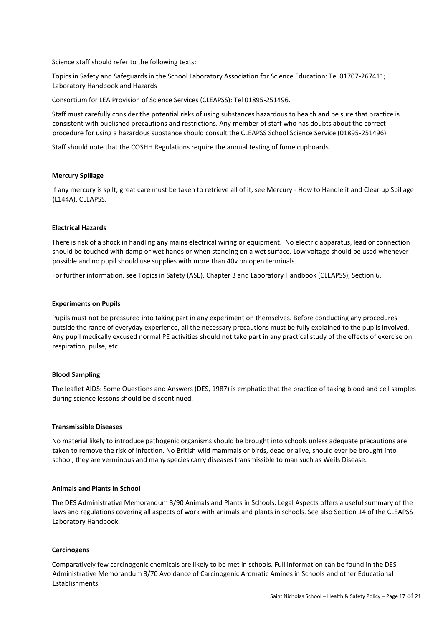Science staff should refer to the following texts:

Topics in Safety and Safeguards in the School Laboratory Association for Science Education: Tel 01707-267411; Laboratory Handbook and Hazards

Consortium for LEA Provision of Science Services (CLEAPSS): Tel 01895-251496.

Staff must carefully consider the potential risks of using substances hazardous to health and be sure that practice is consistent with published precautions and restrictions. Any member of staff who has doubts about the correct procedure for using a hazardous substance should consult the CLEAPSS School Science Service (01895-251496).

Staff should note that the COSHH Regulations require the annual testing of fume cupboards.

#### **Mercury Spillage**

If any mercury is spilt, great care must be taken to retrieve all of it, see Mercury - How to Handle it and Clear up Spillage (L144A), CLEAPSS.

#### **Electrical Hazards**

There is risk of a shock in handling any mains electrical wiring or equipment. No electric apparatus, lead or connection should be touched with damp or wet hands or when standing on a wet surface. Low voltage should be used whenever possible and no pupil should use supplies with more than 40v on open terminals.

For further information, see Topics in Safety (ASE), Chapter 3 and Laboratory Handbook (CLEAPSS), Section 6.

#### **Experiments on Pupils**

Pupils must not be pressured into taking part in any experiment on themselves. Before conducting any procedures outside the range of everyday experience, all the necessary precautions must be fully explained to the pupils involved. Any pupil medically excused normal PE activities should not take part in any practical study of the effects of exercise on respiration, pulse, etc.

#### **Blood Sampling**

The leaflet AIDS: Some Questions and Answers (DES, 1987) is emphatic that the practice of taking blood and cell samples during science lessons should be discontinued.

#### **Transmissible Diseases**

No material likely to introduce pathogenic organisms should be brought into schools unless adequate precautions are taken to remove the risk of infection. No British wild mammals or birds, dead or alive, should ever be brought into school; they are verminous and many species carry diseases transmissible to man such as Weils Disease.

#### **Animals and Plants in School**

The DES Administrative Memorandum 3/90 Animals and Plants in Schools: Legal Aspects offers a useful summary of the laws and regulations covering all aspects of work with animals and plants in schools. See also Section 14 of the CLEAPSS Laboratory Handbook.

#### **Carcinogens**

Comparatively few carcinogenic chemicals are likely to be met in schools. Full information can be found in the DES Administrative Memorandum 3/70 Avoidance of Carcinogenic Aromatic Amines in Schools and other Educational Establishments.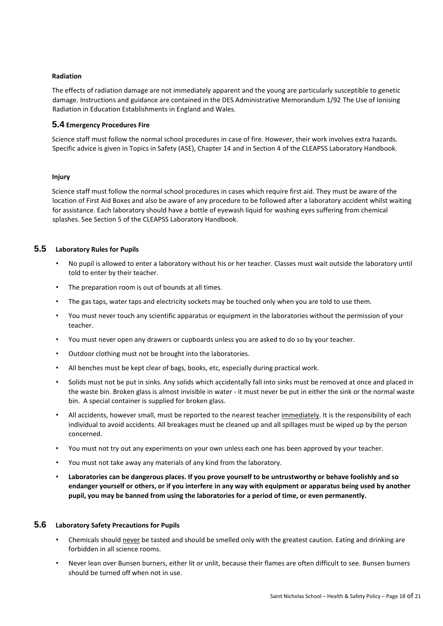#### **Radiation**

The effects of radiation damage are not immediately apparent and the young are particularly susceptible to genetic damage. Instructions and guidance are contained in the DES Administrative Memorandum 1/92 The Use of Ionising Radiation in Education Establishments in England and Wales.

#### **5.4 Emergency Procedures Fire**

Science staff must follow the normal school procedures in case of fire. However, their work involves extra hazards. Specific advice is given in Topics in Safety (ASE), Chapter 14 and in Section 4 of the CLEAPSS Laboratory Handbook.

#### **Injury**

Science staff must follow the normal school procedures in cases which require first aid. They must be aware of the location of First Aid Boxes and also be aware of any procedure to be followed after a laboratory accident whilst waiting for assistance. Each laboratory should have a bottle of eyewash liquid for washing eyes suffering from chemical splashes. See Section 5 of the CLEAPSS Laboratory Handbook.

# **5.5 Laboratory Rules for Pupils**

- No pupil is allowed to enter a laboratory without his or her teacher. Classes must wait outside the laboratory until told to enter by their teacher.
- The preparation room is out of bounds at all times.
- The gas taps, water taps and electricity sockets may be touched only when you are told to use them.
- You must never touch any scientific apparatus or equipment in the laboratories without the permission of your teacher.
- You must never open any drawers or cupboards unless you are asked to do so by your teacher.
- Outdoor clothing must not be brought into the laboratories.
- All benches must be kept clear of bags, books, etc, especially during practical work.
- Solids must not be put in sinks. Any solids which accidentally fall into sinks must be removed at once and placed in the waste bin. Broken glass is almost invisible in water - it must never be put in either the sink or the normal waste bin. A special container is supplied for broken glass.
- All accidents, however small, must be reported to the nearest teacher immediately. It is the responsibility of each individual to avoid accidents. All breakages must be cleaned up and all spillages must be wiped up by the person concerned.
- You must not try out any experiments on your own unless each one has been approved by your teacher.
- You must not take away any materials of any kind from the laboratory.
- **Laboratories can be dangerous places. If you prove yourself to be untrustworthy or behave foolishly and so endanger yourself or others, or if you interfere in any way with equipment or apparatus being used by another pupil, you may be banned from using the laboratories for a period of time, or even permanently.**

## **5.6 Laboratory Safety Precautions for Pupils**

- Chemicals should never be tasted and should be smelled only with the greatest caution. Eating and drinking are forbidden in all science rooms.
- Never lean over Bunsen burners, either lit or unlit, because their flames are often difficult to see. Bunsen burners should be turned off when not in use.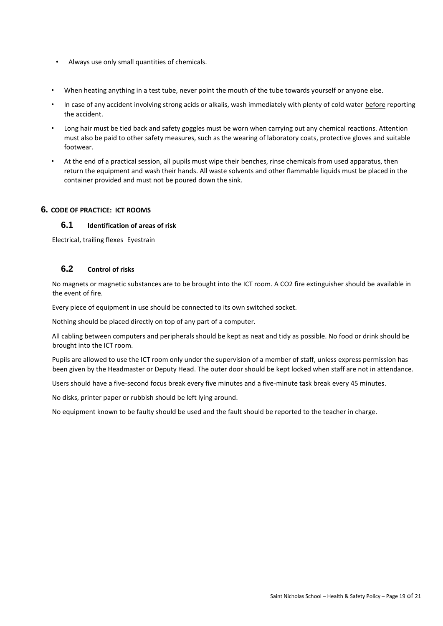- Always use only small quantities of chemicals.
- When heating anything in a test tube, never point the mouth of the tube towards yourself or anyone else.
- In case of any accident involving strong acids or alkalis, wash immediately with plenty of cold water before reporting the accident.
- Long hair must be tied back and safety goggles must be worn when carrying out any chemical reactions. Attention must also be paid to other safety measures, such as the wearing of laboratory coats, protective gloves and suitable footwear.
- At the end of a practical session, all pupils must wipe their benches, rinse chemicals from used apparatus, then return the equipment and wash their hands. All waste solvents and other flammable liquids must be placed in the container provided and must not be poured down the sink.

## **6. CODE OF PRACTICE: ICT ROOMS**

# **6.1 Identification of areas of risk**

Electrical, trailing flexes Eyestrain

## **6.2 Control of risks**

No magnets or magnetic substances are to be brought into the ICT room. A CO2 fire extinguisher should be available in the event of fire.

Every piece of equipment in use should be connected to its own switched socket.

Nothing should be placed directly on top of any part of a computer.

All cabling between computers and peripherals should be kept as neat and tidy as possible. No food or drink should be brought into the ICT room.

Pupils are allowed to use the ICT room only under the supervision of a member of staff, unless express permission has been given by the Headmaster or Deputy Head. The outer door should be kept locked when staff are not in attendance.

Users should have a five-second focus break every five minutes and a five-minute task break every 45 minutes.

No disks, printer paper or rubbish should be left lying around.

No equipment known to be faulty should be used and the fault should be reported to the teacher in charge.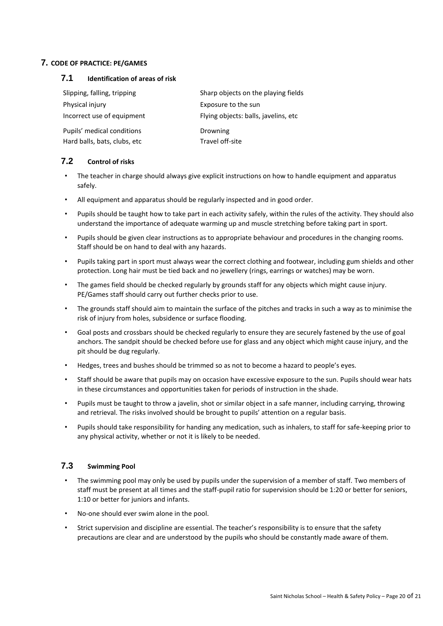## **7. CODE OF PRACTICE: PE/GAMES**

# **7.1 Identification of areas of risk**

| Slipping, falling, tripping  | Sharp objects on the playing fields   |
|------------------------------|---------------------------------------|
| Physical injury              | Exposure to the sun                   |
| Incorrect use of equipment   | Flying objects: balls, javelins, etc. |
| Pupils' medical conditions   | Drowning                              |
| Hard balls, bats, clubs, etc | Travel off-site                       |

## **7.2 Control of risks**

- The teacher in charge should always give explicit instructions on how to handle equipment and apparatus safely.
- All equipment and apparatus should be regularly inspected and in good order.
- Pupils should be taught how to take part in each activity safely, within the rules of the activity. They should also understand the importance of adequate warming up and muscle stretching before taking part in sport.
- Pupils should be given clear instructions as to appropriate behaviour and procedures in the changing rooms. Staff should be on hand to deal with any hazards.
- Pupils taking part in sport must always wear the correct clothing and footwear, including gum shields and other protection. Long hair must be tied back and no jewellery (rings, earrings or watches) may be worn.
- The games field should be checked regularly by grounds staff for any objects which might cause injury. PE/Games staff should carry out further checks prior to use.
- The grounds staff should aim to maintain the surface of the pitches and tracks in such a way as to minimise the risk of injury from holes, subsidence or surface flooding.
- Goal posts and crossbars should be checked regularly to ensure they are securely fastened by the use of goal anchors. The sandpit should be checked before use for glass and any object which might cause injury, and the pit should be dug regularly.
- Hedges, trees and bushes should be trimmed so as not to become a hazard to people's eyes.
- Staff should be aware that pupils may on occasion have excessive exposure to the sun. Pupils should wear hats in these circumstances and opportunities taken for periods of instruction in the shade.
- Pupils must be taught to throw a javelin, shot or similar object in a safe manner, including carrying, throwing and retrieval. The risks involved should be brought to pupils' attention on a regular basis.
- Pupils should take responsibility for handing any medication, such as inhalers, to staff for safe-keeping prior to any physical activity, whether or not it is likely to be needed.

## **7.3 Swimming Pool**

- The swimming pool may only be used by pupils under the supervision of a member of staff. Two members of staff must be present at all times and the staff-pupil ratio for supervision should be 1:20 or better for seniors, 1:10 or better for juniors and infants.
- No-one should ever swim alone in the pool.
- Strict supervision and discipline are essential. The teacher's responsibility is to ensure that the safety precautions are clear and are understood by the pupils who should be constantly made aware of them.